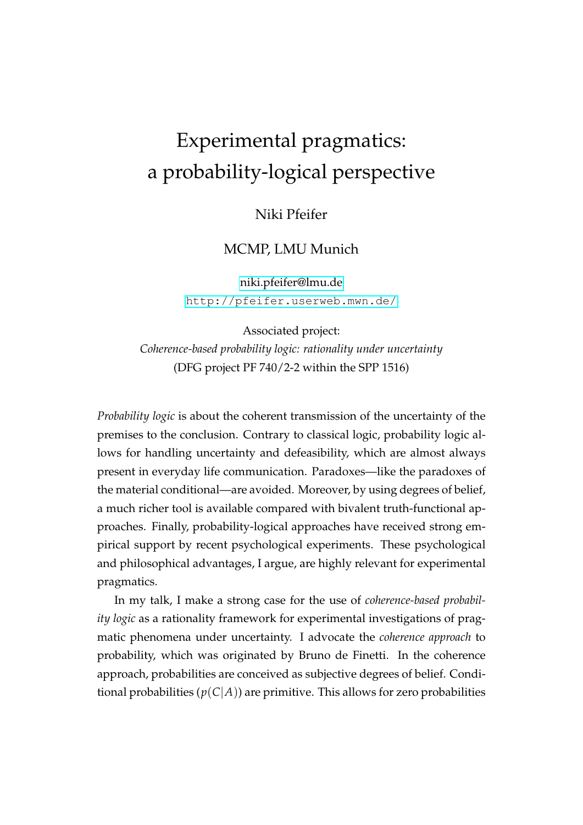## Experimental pragmatics: a probability-logical perspective

Niki Pfeifer

## MCMP, LMU Munich

[niki.pfeifer@lmu.de](mailto:niki.pfeifer@lmu.de) <http://pfeifer.userweb.mwn.de/>

Associated project: *Coherence-based probability logic: rationality under uncertainty* (DFG project PF 740/2-2 within the SPP 1516)

*Probability logic* is about the coherent transmission of the uncertainty of the premises to the conclusion. Contrary to classical logic, probability logic allows for handling uncertainty and defeasibility, which are almost always present in everyday life communication. Paradoxes—like the paradoxes of the material conditional—are avoided. Moreover, by using degrees of belief, a much richer tool is available compared with bivalent truth-functional approaches. Finally, probability-logical approaches have received strong empirical support by recent psychological experiments. These psychological and philosophical advantages, I argue, are highly relevant for experimental pragmatics.

In my talk, I make a strong case for the use of *coherence-based probability logic* as a rationality framework for experimental investigations of pragmatic phenomena under uncertainty. I advocate the *coherence approach* to probability, which was originated by Bruno de Finetti. In the coherence approach, probabilities are conceived as subjective degrees of belief. Conditional probabilities  $(p(C|A))$  are primitive. This allows for zero probabilities